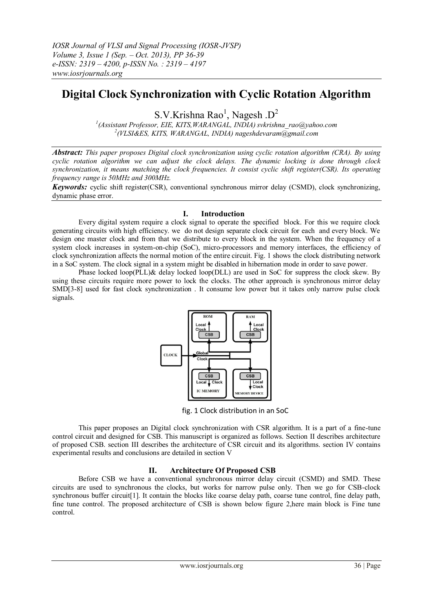# **Digital Clock Synchronization with Cyclic Rotation Algorithm**

S.V.Krishna Rao<sup>1</sup>, Nagesh .D<sup>2</sup>

<sup>1</sup>(Assistant Professor, EIE, KITS,WARANGAL, INDIA) svkrishna\_rao@yahoo.com *2 (VLSI&ES, KITS, WARANGAL, INDIA) nageshdevaram@gmail.com*

*Abstract: This paper proposes Digital clock synchronization using cyclic rotation algorithm (CRA). By using cyclic rotation algorithm we can adjust the clock delays. The dynamic locking is done through clock synchronization, it means matching the clock frequencies. It consist cyclic shift register(CSR). Its operating frequency range is 50MHz and 300MHz.*

*Keywords:* cyclic shift register(CSR), conventional synchronous mirror delay (CSMD), clock synchronizing, dynamic phase error.

# **I. Introduction**

 Every digital system require a clock signal to operate the specified block. For this we require clock generating circuits with high efficiency. we do not design separate clock circuit for each and every block. We design one master clock and from that we distribute to every block in the system. When the frequency of a system clock increases in system-on-chip (SoC), micro-processors and memory interfaces, the efficiency of clock synchronization affects the normal motion of the entire circuit. Fig. 1 shows the clock distributing network in a SoC system. The clock signal in a system might be disabled in hibernation mode in order to save power.

Phase locked loop(PLL) & delay locked loop(DLL) are used in SoC for suppress the clock skew. By using these circuits require more power to lock the clocks. The other approach is synchronous mirror delay SMD[3-8] used for fast clock synchronization . It consume low power but it takes only narrow pulse clock signals.



fig. 1 Clock distribution in an SoC

This paper proposes an Digital clock synchronization with CSR algorithm. It is a part of a fine-tune control circuit and designed for CSB. This manuscript is organized as follows. Section II describes architecture of proposed CSB. section III describes the architecture of CSR circuit and its algorithms. section IV contains experimental results and conclusions are detailed in section V

# **II. Architecture Of Proposed CSB**

Before CSB we have a conventional synchronous mirror delay circuit (CSMD) and SMD. These circuits are used to synchronous the clocks, but works for narrow pulse only. Then we go for CSB-clock synchronous buffer circuit<sup>[1]</sup>. It contain the blocks like coarse delay path, coarse tune control, fine delay path, fine tune control. The proposed architecture of CSB is shown below figure 2,here main block is Fine tune control.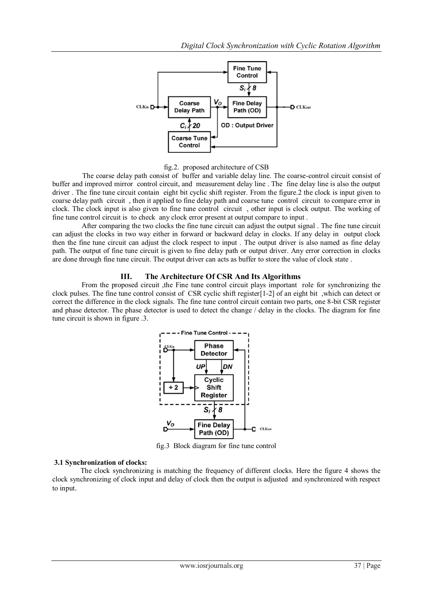

# fig.2. proposed architecture of CSB

 The coarse delay path consist of buffer and variable delay line. The coarse-control circuit consist of buffer and improved mirror control circuit, and measurement delay line . The fine delay line is also the output driver . The fine tune circuit contain eight bit cyclic shift register. From the figure.2 the clock is input given to coarse delay path circuit , then it applied to fine delay path and coarse tune control circuit to compare error in clock. The clock input is also given to fine tune control circuit , other input is clock output. The working of fine tune control circuit is to check any clock error present at output compare to input .

 After comparing the two clocks the fine tune circuit can adjust the output signal . The fine tune circuit can adjust the clocks in two way either in forward or backward delay in clocks. If any delay in output clock then the fine tune circuit can adjust the clock respect to input . The output driver is also named as fine delay path. The output of fine tune circuit is given to fine delay path or output driver. Any error correction in clocks are done through fine tune circuit. The output driver can acts as buffer to store the value of clock state .

# **III. The Architecture Of CSR And Its Algorithms**

 From the proposed circuit ,the Fine tune control circuit plays important role for synchronizing the clock pulses. The fine tune control consist of CSR cyclic shift register[1-2] of an eight bit ,which can detect or correct the difference in the clock signals. The fine tune control circuit contain two parts, one 8-bit CSR register and phase detector. The phase detector is used to detect the change / delay in the clocks. The diagram for fine tune circuit is shown in figure .3.



fig.3 Block diagram for fine tune control

#### **3.1 Synchronization of clocks:**

The clock synchronizing is matching the frequency of different clocks. Here the figure 4 shows the clock synchronizing of clock input and delay of clock then the output is adjusted and synchronized with respect to input.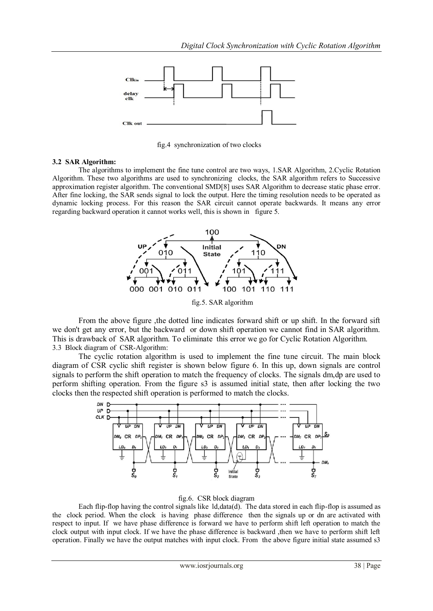

fig.4 synchronization of two clocks

#### **3.2 SAR Algorithm:**

The algorithms to implement the fine tune control are two ways, 1.SAR Algorithm, 2.Cyclic Rotation Algorithm. These two algorithms are used to synchronizing clocks, the SAR algorithm refers to Successive approximation register algorithm. The conventional SMD[8] uses SAR Algorithm to decrease static phase error. After fine locking, the SAR sends signal to lock the output. Here the timing resolution needs to be operated as dynamic locking process. For this reason the SAR circuit cannot operate backwards. It means any error regarding backward operation it cannot works well, this is shown in figure 5.



fig.5. SAR algorithm

From the above figure ,the dotted line indicates forward shift or up shift. In the forward sift we don't get any error, but the backward or down shift operation we cannot find in SAR algorithm. This is drawback of SAR algorithm. To eliminate this error we go for Cyclic Rotation Algorithm. 3.3 Block diagram of CSR-Algorithm:

The cyclic rotation algorithm is used to implement the fine tune circuit. The main block diagram of CSR cyclic shift register is shown below figure 6. In this up, down signals are control signals to perform the shift operation to match the frequency of clocks. The signals dm,dp are used to perform shifting operation. From the figure s3 is assumed initial state, then after locking the two clocks then the respected shift operation is performed to match the clocks.



# fig.6. CSR block diagram

Each flip-flop having the control signals like  $ld, data(d)$ . The data stored in each flip-flop is assumed as the clock period. When the clock is having phase difference then the signals up or dn are activated with respect to input. If we have phase difference is forward we have to perform shift left operation to match the clock output with input clock. If we have the phase difference is backward ,then we have to perform shift left operation. Finally we have the output matches with input clock. From the above figure initial state assumed s3